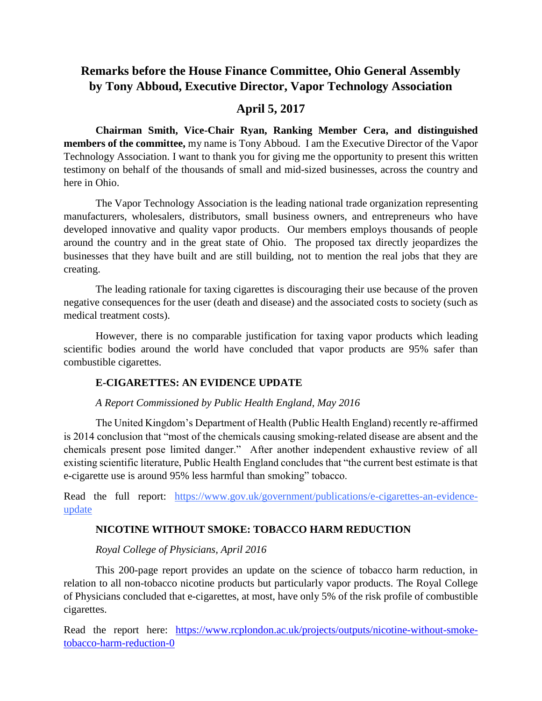# **Remarks before the House Finance Committee, Ohio General Assembly by Tony Abboud, Executive Director, Vapor Technology Association**

## **April 5, 2017**

**Chairman Smith, Vice-Chair Ryan, Ranking Member Cera, and distinguished members of the committee,** my name is Tony Abboud. I am the Executive Director of the Vapor Technology Association. I want to thank you for giving me the opportunity to present this written testimony on behalf of the thousands of small and mid-sized businesses, across the country and here in Ohio.

The Vapor Technology Association is the leading national trade organization representing manufacturers, wholesalers, distributors, small business owners, and entrepreneurs who have developed innovative and quality vapor products. Our members employs thousands of people around the country and in the great state of Ohio. The proposed tax directly jeopardizes the businesses that they have built and are still building, not to mention the real jobs that they are creating.

The leading rationale for taxing cigarettes is discouraging their use because of the proven negative consequences for the user (death and disease) and the associated costs to society (such as medical treatment costs).

However, there is no comparable justification for taxing vapor products which leading scientific bodies around the world have concluded that vapor products are 95% safer than combustible cigarettes.

### **E-CIGARETTES: AN EVIDENCE UPDATE**

### *A Report Commissioned by Public Health England, May 2016*

The United Kingdom's Department of Health (Public Health England) recently re-affirmed is 2014 conclusion that "most of the chemicals causing smoking-related disease are absent and the chemicals present pose limited danger." After another independent exhaustive review of all existing scientific literature, Public Health England concludes that "the current best estimate is that e-cigarette use is around 95% less harmful than smoking" tobacco.

Read the full report: [https://www.gov.uk/government/publications/e-cigarettes-an-evidence](https://www.gov.uk/government/publications/e-cigarettes-an-evidence-update)[update](https://www.gov.uk/government/publications/e-cigarettes-an-evidence-update)

### **NICOTINE WITHOUT SMOKE: TOBACCO HARM REDUCTION**

### *Royal College of Physicians, April 2016*

This 200-page report provides an update on the science of tobacco harm reduction, in relation to all non-tobacco nicotine products but particularly vapor products. The Royal College of Physicians concluded that e-cigarettes, at most, have only 5% of the risk profile of combustible cigarettes.

Read the report here: [https://www.rcplondon.ac.uk/projects/outputs/nicotine-without-smoke](https://www.rcplondon.ac.uk/projects/outputs/nicotine-without-smoke-tobacco-harm-reduction-0)[tobacco-harm-reduction-0](https://www.rcplondon.ac.uk/projects/outputs/nicotine-without-smoke-tobacco-harm-reduction-0)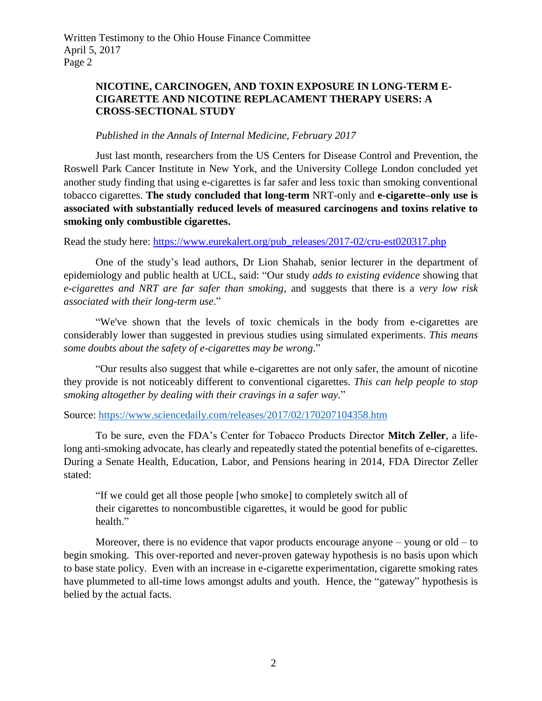Written Testimony to the Ohio House Finance Committee April 5, 2017 Page 2

### **NICOTINE, CARCINOGEN, AND TOXIN EXPOSURE IN LONG-TERM E-CIGARETTE AND NICOTINE REPLACAMENT THERAPY USERS: A CROSS-SECTIONAL STUDY**

### *Published in the Annals of Internal Medicine, February 2017*

Just last month, researchers from the US Centers for Disease Control and Prevention, the Roswell Park Cancer Institute in New York, and the University College London concluded yet another study finding that using e-cigarettes is far safer and less toxic than smoking conventional tobacco cigarettes. **The study concluded that long-term** NRT-only and **e-cigarette–only use is associated with substantially reduced levels of measured carcinogens and toxins relative to smoking only combustible cigarettes.** 

Read the study here: [https://www.eurekalert.org/pub\\_releases/2017-02/cru-est020317.php](https://www.eurekalert.org/pub_releases/2017-02/cru-est020317.php)

One of the study's lead authors, Dr Lion Shahab, senior lecturer in the department of epidemiology and public health at UCL, said: "Our study *adds to existing evidence* showing that *e-cigarettes and NRT are far safer than smoking*, and suggests that there is a *very low risk associated with their long-term use*."

"We've shown that the levels of toxic chemicals in the body from e-cigarettes are considerably lower than suggested in previous studies using simulated experiments. *This means some doubts about the safety of e-cigarettes may be wrong*."

"Our results also suggest that while e-cigarettes are not only safer, the amount of nicotine they provide is not noticeably different to conventional cigarettes. *This can help people to stop smoking altogether by dealing with their cravings in a safer way.*"

Source:<https://www.sciencedaily.com/releases/2017/02/170207104358.htm>

To be sure, even the FDA's Center for Tobacco Products Director **Mitch Zeller**, a lifelong anti-smoking advocate, has clearly and repeatedly stated the potential benefits of e-cigarettes. During a Senate Health, Education, Labor, and Pensions hearing in 2014, FDA Director Zeller stated:

"If we could get all those people [who smoke] to completely switch all of their cigarettes to noncombustible cigarettes, it would be good for public health."

Moreover, there is no evidence that vapor products encourage anyone – young or old – to begin smoking. This over-reported and never-proven gateway hypothesis is no basis upon which to base state policy. Even with an increase in e-cigarette experimentation, cigarette smoking rates have plummeted to all-time lows amongst adults and youth. Hence, the "gateway" hypothesis is belied by the actual facts.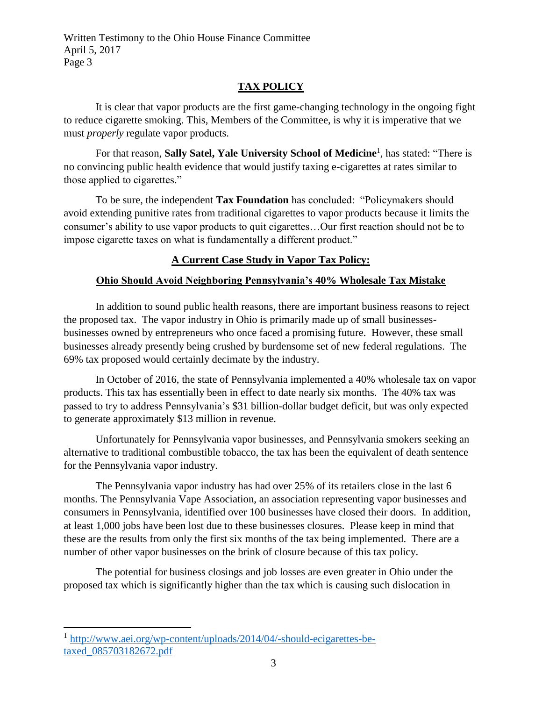Written Testimony to the Ohio House Finance Committee April 5, 2017 Page 3

## **TAX POLICY**

It is clear that vapor products are the first game-changing technology in the ongoing fight to reduce cigarette smoking. This, Members of the Committee, is why it is imperative that we must *properly* regulate vapor products.

For that reason, **Sally Satel, Yale University School of Medicine**<sup>1</sup> , has stated: "There is no convincing public health evidence that would justify taxing e-cigarettes at rates similar to those applied to cigarettes."

To be sure, the independent **Tax Foundation** has concluded: "Policymakers should avoid extending punitive rates from traditional cigarettes to vapor products because it limits the consumer's ability to use vapor products to quit cigarettes…Our first reaction should not be to impose cigarette taxes on what is fundamentally a different product."

# **A Current Case Study in Vapor Tax Policy:**

# **Ohio Should Avoid Neighboring Pennsylvania's 40% Wholesale Tax Mistake**

In addition to sound public health reasons, there are important business reasons to reject the proposed tax. The vapor industry in Ohio is primarily made up of small businessesbusinesses owned by entrepreneurs who once faced a promising future. However, these small businesses already presently being crushed by burdensome set of new federal regulations. The 69% tax proposed would certainly decimate by the industry.

In October of 2016, the state of Pennsylvania implemented a 40% wholesale tax on vapor products. This tax has essentially been in effect to date nearly six months. The 40% tax was passed to try to address Pennsylvania's \$31 billion-dollar budget deficit, but was only expected to generate approximately \$13 million in revenue.

Unfortunately for Pennsylvania vapor businesses, and Pennsylvania smokers seeking an alternative to traditional combustible tobacco, the tax has been the equivalent of death sentence for the Pennsylvania vapor industry.

The Pennsylvania vapor industry has had over 25% of its retailers close in the last 6 months. The Pennsylvania Vape Association, an association representing vapor businesses and consumers in Pennsylvania, identified over 100 businesses have closed their doors. In addition, at least 1,000 jobs have been lost due to these businesses closures. Please keep in mind that these are the results from only the first six months of the tax being implemented. There are a number of other vapor businesses on the brink of closure because of this tax policy.

The potential for business closings and job losses are even greater in Ohio under the proposed tax which is significantly higher than the tax which is causing such dislocation in

 $\overline{\phantom{a}}$ <sup>1</sup> [http://www.aei.org/wp-content/uploads/2014/04/-should-ecigarettes-be](http://www.aei.org/wp-content/uploads/2014/04/-should-ecigarettes-be-taxed_085703182672.pdf)[taxed\\_085703182672.pdf](http://www.aei.org/wp-content/uploads/2014/04/-should-ecigarettes-be-taxed_085703182672.pdf)